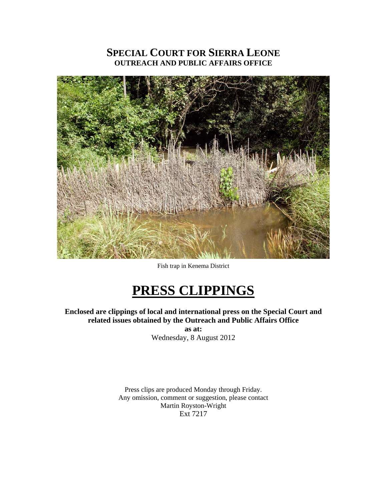## **SPECIAL COURT FOR SIERRA LEONE OUTREACH AND PUBLIC AFFAIRS OFFICE**



Fish trap in Kenema District

# **PRESS CLIPPINGS**

**Enclosed are clippings of local and international press on the Special Court and related issues obtained by the Outreach and Public Affairs Office** 

**as at:**  Wednesday, 8 August 2012

Press clips are produced Monday through Friday. Any omission, comment or suggestion, please contact Martin Royston-Wright Ext 7217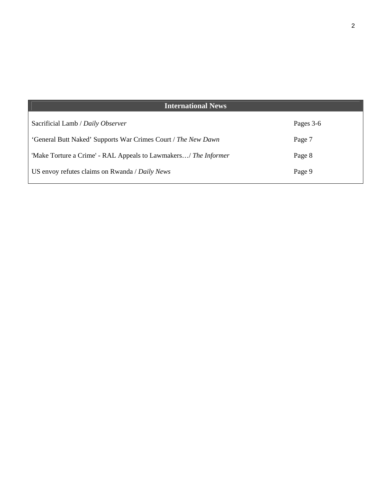| <b>International News</b>                                       |           |
|-----------------------------------------------------------------|-----------|
| Sacrificial Lamb / Daily Observer                               | Pages 3-6 |
| 'General Butt Naked' Supports War Crimes Court / The New Dawn   | Page 7    |
| 'Make Torture a Crime' - RAL Appeals to Lawmakers/ The Informer | Page 8    |
| US envoy refutes claims on Rwanda / Daily News                  | Page 9    |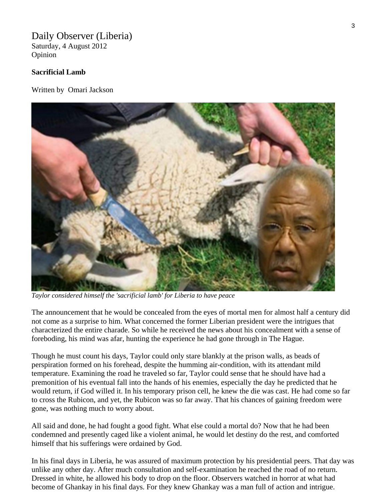## Daily Observer (Liberia)

Saturday, 4 August 2012 Opinion

### **Sacrificial Lamb**

Written by Omari Jackson



*Taylor considered himself the 'sacrificial lamb' for Liberia to have peace* 

The announcement that he would be concealed from the eyes of mortal men for almost half a century did not come as a surprise to him. What concerned the former Liberian president were the intrigues that characterized the entire charade. So while he received the news about his concealment with a sense of foreboding, his mind was afar, hunting the experience he had gone through in The Hague.

Though he must count his days, Taylor could only stare blankly at the prison walls, as beads of perspiration formed on his forehead, despite the humming air-condition, with its attendant mild temperature. Examining the road he traveled so far, Taylor could sense that he should have had a premonition of his eventual fall into the hands of his enemies, especially the day he predicted that he would return, if God willed it. In his temporary prison cell, he knew the die was cast. He had come so far to cross the Rubicon, and yet, the Rubicon was so far away. That his chances of gaining freedom were gone, was nothing much to worry about.

All said and done, he had fought a good fight. What else could a mortal do? Now that he had been condemned and presently caged like a violent animal, he would let destiny do the rest, and comforted himself that his sufferings were ordained by God.

In his final days in Liberia, he was assured of maximum protection by his presidential peers. That day was unlike any other day. After much consultation and self-examination he reached the road of no return. Dressed in white, he allowed his body to drop on the floor. Observers watched in horror at what had become of Ghankay in his final days. For they knew Ghankay was a man full of action and intrigue.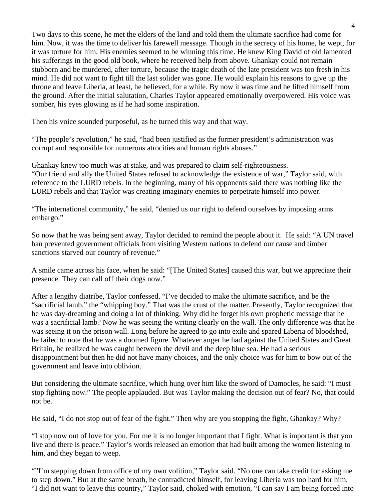Two days to this scene, he met the elders of the land and told them the ultimate sacrifice had come for him. Now, it was the time to deliver his farewell message. Though in the secrecy of his home, he wept, for it was torture for him. His enemies seemed to be winning this time. He knew King David of old lamented his sufferings in the good old book, where he received help from above. Ghankay could not remain stubborn and be murdered, after torture, because the tragic death of the late president was too fresh in his mind. He did not want to fight till the last solider was gone. He would explain his reasons to give up the throne and leave Liberia, at least, he believed, for a while. By now it was time and he lifted himself from the ground. After the initial salutation, Charles Taylor appeared emotionally overpowered. His voice was somber, his eyes glowing as if he had some inspiration.

Then his voice sounded purposeful, as he turned this way and that way.

"The people's revolution," he said, "had been justified as the former president's administration was corrupt and responsible for numerous atrocities and human rights abuses."

Ghankay knew too much was at stake, and was prepared to claim self-righteousness. "Our friend and ally the United States refused to acknowledge the existence of war," Taylor said, with reference to the LURD rebels. In the beginning, many of his opponents said there was nothing like the LURD rebels and that Taylor was creating imaginary enemies to perpetrate himself into power.

"The international community," he said, "denied us our right to defend ourselves by imposing arms embargo."

So now that he was being sent away, Taylor decided to remind the people about it. He said: "A UN travel ban prevented government officials from visiting Western nations to defend our cause and timber sanctions starved our country of revenue."

A smile came across his face, when he said: "[The United States] caused this war, but we appreciate their presence. They can call off their dogs now."

After a lengthy diatribe, Taylor confessed, "I've decided to make the ultimate sacrifice, and be the "sacrificial lamb," the "whipping boy." That was the crust of the matter. Presently, Taylor recognized that he was day-dreaming and doing a lot of thinking. Why did he forget his own prophetic message that he was a sacrificial lamb? Now he was seeing the writing clearly on the wall. The only difference was that he was seeing it on the prison wall. Long before he agreed to go into exile and spared Liberia of bloodshed, he failed to note that he was a doomed figure. Whatever anger he had against the United States and Great Britain, he realized he was caught between the devil and the deep blue sea. He had a serious disappointment but then he did not have many choices, and the only choice was for him to bow out of the government and leave into oblivion.

But considering the ultimate sacrifice, which hung over him like the sword of Damocles, he said: "I must stop fighting now." The people applauded. But was Taylor making the decision out of fear? No, that could not be.

He said, "I do not stop out of fear of the fight." Then why are you stopping the fight, Ghankay? Why?

"I stop now out of love for you. For me it is no longer important that I fight. What is important is that you live and there is peace." Taylor's words released an emotion that had built among the women listening to him, and they began to weep.

""I'm stepping down from office of my own volition," Taylor said. "No one can take credit for asking me to step down." But at the same breath, he contradicted himself, for leaving Liberia was too hard for him. "I did not want to leave this country," Taylor said, choked with emotion, "I can say I am being forced into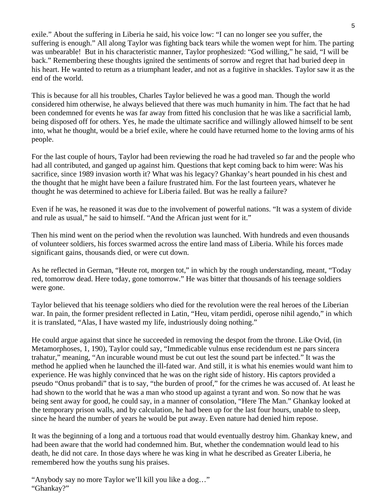exile." About the suffering in Liberia he said, his voice low: "I can no longer see you suffer, the suffering is enough." All along Taylor was fighting back tears while the women wept for him. The parting was unbearable! But in his characteristic manner, Taylor prophesized: "God willing," he said, "I will be back." Remembering these thoughts ignited the sentiments of sorrow and regret that had buried deep in his heart. He wanted to return as a triumphant leader, and not as a fugitive in shackles. Taylor saw it as the end of the world.

This is because for all his troubles, Charles Taylor believed he was a good man. Though the world considered him otherwise, he always believed that there was much humanity in him. The fact that he had been condemned for events he was far away from fitted his conclusion that he was like a sacrificial lamb, being disposed off for others. Yes, he made the ultimate sacrifice and willingly allowed himself to be sent into, what he thought, would be a brief exile, where he could have returned home to the loving arms of his people.

For the last couple of hours, Taylor had been reviewing the road he had traveled so far and the people who had all contributed, and ganged up against him. Questions that kept coming back to him were: Was his sacrifice, since 1989 invasion worth it? What was his legacy? Ghankay's heart pounded in his chest and the thought that he might have been a failure frustrated him. For the last fourteen years, whatever he thought he was determined to achieve for Liberia failed. But was he really a failure?

Even if he was, he reasoned it was due to the involvement of powerful nations. "It was a system of divide and rule as usual," he said to himself. "And the African just went for it."

Then his mind went on the period when the revolution was launched. With hundreds and even thousands of volunteer soldiers, his forces swarmed across the entire land mass of Liberia. While his forces made significant gains, thousands died, or were cut down.

As he reflected in German, "Heute rot, morgen tot," in which by the rough understanding, meant, "Today red, tomorrow dead. Here today, gone tomorrow." He was bitter that thousands of his teenage soldiers were gone.

Taylor believed that his teenage soldiers who died for the revolution were the real heroes of the Liberian war. In pain, the former president reflected in Latin, "Heu, vitam perdidi, operose nihil agendo," in which it is translated, "Alas, I have wasted my life, industriously doing nothing."

He could argue against that since he succeeded in removing the despot from the throne. Like Ovid, (in Metamorphoses, 1, 190), Taylor could say, "Immedicable vulnus ense recidendum est ne pars sincera trahatur," meaning, "An incurable wound must be cut out lest the sound part be infected." It was the method he applied when he launched the ill-fated war. And still, it is what his enemies would want him to experience. He was highly convinced that he was on the right side of history. His captors provided a pseudo "Onus probandi" that is to say, "the burden of proof," for the crimes he was accused of. At least he had shown to the world that he was a man who stood up against a tyrant and won. So now that he was being sent away for good, he could say, in a manner of consolation, "Here The Man." Ghankay looked at the temporary prison walls, and by calculation, he had been up for the last four hours, unable to sleep, since he heard the number of years he would be put away. Even nature had denied him repose.

It was the beginning of a long and a tortuous road that would eventually destroy him. Ghankay knew, and had been aware that the world had condemned him. But, whether the condemnation would lead to his death, he did not care. In those days where he was king in what he described as Greater Liberia, he remembered how the youths sung his praises.

"Anybody say no more Taylor we'll kill you like a dog…" "Ghankay?"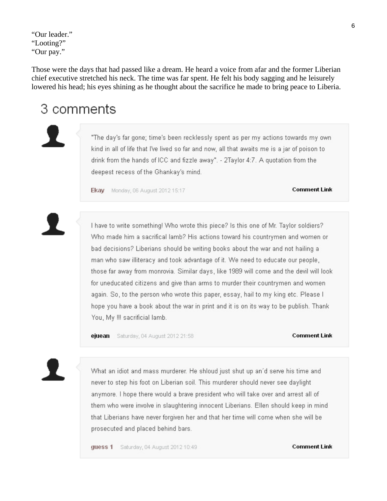"Our leader." "Looting?" "Our pay."

Those were the days that had passed like a dream. He heard a voice from afar and the former Liberian chief executive stretched his neck. The time was far spent. He felt his body sagging and he leisurely lowered his head; his eyes shining as he thought about the sacrifice he made to bring peace to Liberia.

## 3 comments

"The day's far gone; time's been recklessly spent as per my actions towards my ownkind in all of life that I've lived so far and now, all that awaits me is a jar of poison to drink from the hands of ICC and fizzle away". - 2Taylor 4:7. A quotation from the deepest recess of the Ghankay's mind.

Ekay Monday, 06 August 2012 15:17

#### **Comment Link**

I have to write something! Who wrote this piece? Is this one of Mr. Taylor soldiers? Who made him a sacrifical lamb? His actions toward his countrymen and women or bad decisions? Liberians should be writing books about the war and not hailing a man who saw illiteracy and took advantage of it. We need to educate our people, those far away from monrovia. Similar days, like 1989 will come and the devil will look for uneducated citizens and give than arms to murder their countrymen and women again. So, to the person who wrote this paper, essay, hail to my king etc. Please I hope you have a book about the war in print and it is on its way to be publish. Thank You, My !!! sacrificial lamb.

ejuean Saturday, 04 August 2012 21:58

#### **Comment Link**

What an idiot and mass murderer. He shloud just shut up an'd serve his time and never to step his foot on Liberian soil. This murderer should never see daylight anymore. I hope there would a brave president who will take over and arrest all of them who were involve in slaughtering innocent Liberians. Ellen should keep in mindthat Liberians have never forgiven her and that her time will come when she will be prosecuted and placed behind bars.

guess 1 Saturday, 04 August 2012 10:49

#### **Comment Link**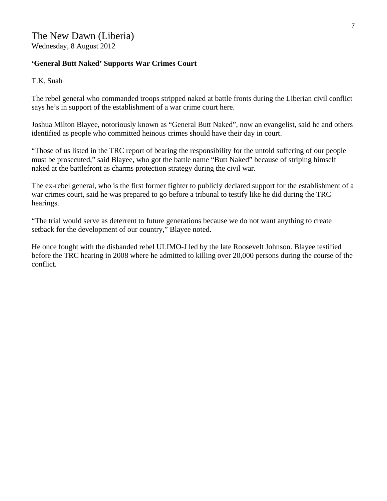## **'General Butt Naked' Supports War Crimes Court**

T.K. Suah

The rebel general who commanded troops stripped naked at battle fronts during the Liberian civil conflict says he's in support of the establishment of a war crime court here.

Joshua Milton Blayee, notoriously known as "General Butt Naked", now an evangelist, said he and others identified as people who committed heinous crimes should have their day in court.

"Those of us listed in the TRC report of bearing the responsibility for the untold suffering of our people must be prosecuted," said Blayee, who got the battle name "Butt Naked" because of striping himself naked at the battlefront as charms protection strategy during the civil war.

The ex-rebel general, who is the first former fighter to publicly declared support for the establishment of a war crimes court, said he was prepared to go before a tribunal to testify like he did during the TRC hearings.

"The trial would serve as deterrent to future generations because we do not want anything to create setback for the development of our country," Blayee noted.

He once fought with the disbanded rebel ULIMO-J led by the late Roosevelt Johnson. Blayee testified before the TRC hearing in 2008 where he admitted to killing over 20,000 persons during the course of the conflict.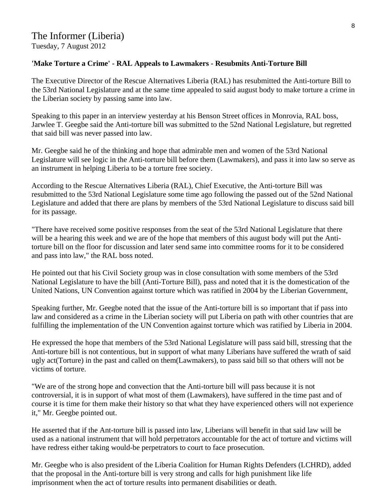### **'Make Torture a Crime' - RAL Appeals to Lawmakers - Resubmits Anti-Torture Bill**

The Executive Director of the Rescue Alternatives Liberia (RAL) has resubmitted the Anti-torture Bill to the 53rd National Legislature and at the same time appealed to said august body to make torture a crime in the Liberian society by passing same into law.

Speaking to this paper in an interview yesterday at his Benson Street offices in Monrovia, RAL boss, Jarwlee T. Geegbe said the Anti-torture bill was submitted to the 52nd National Legislature, but regretted that said bill was never passed into law.

Mr. Geegbe said he of the thinking and hope that admirable men and women of the 53rd National Legislature will see logic in the Anti-torture bill before them (Lawmakers), and pass it into law so serve as an instrument in helping Liberia to be a torture free society.

According to the Rescue Alternatives Liberia (RAL), Chief Executive, the Anti-torture Bill was resubmitted to the 53rd National Legislature some time ago following the passed out of the 52nd National Legislature and added that there are plans by members of the 53rd National Legislature to discuss said bill for its passage.

"There have received some positive responses from the seat of the 53rd National Legislature that there will be a hearing this week and we are of the hope that members of this august body will put the Antitorture bill on the floor for discussion and later send same into committee rooms for it to be considered and pass into law," the RAL boss noted.

He pointed out that his Civil Society group was in close consultation with some members of the 53rd National Legislature to have the bill (Anti-Torture Bill), pass and noted that it is the domestication of the United Nations, UN Convention against torture which was ratified in 2004 by the Liberian Government,

Speaking further, Mr. Geegbe noted that the issue of the Anti-torture bill is so important that if pass into law and considered as a crime in the Liberian society will put Liberia on path with other countries that are fulfilling the implementation of the UN Convention against torture which was ratified by Liberia in 2004.

He expressed the hope that members of the 53rd National Legislature will pass said bill, stressing that the Anti-torture bill is not contentious, but in support of what many Liberians have suffered the wrath of said ugly act(Torture) in the past and called on them(Lawmakers), to pass said bill so that others will not be victims of torture.

"We are of the strong hope and convection that the Anti-torture bill will pass because it is not controversial, it is in support of what most of them (Lawmakers), have suffered in the time past and of course it is time for them make their history so that what they have experienced others will not experience it," Mr. Geegbe pointed out.

He asserted that if the Ant-torture bill is passed into law, Liberians will benefit in that said law will be used as a national instrument that will hold perpetrators accountable for the act of torture and victims will have redress either taking would-be perpetrators to court to face prosecution.

Mr. Geegbe who is also president of the Liberia Coalition for Human Rights Defenders (LCHRD), added that the proposal in the Anti-torture bill is very strong and calls for high punishment like life imprisonment when the act of torture results into permanent disabilities or death.